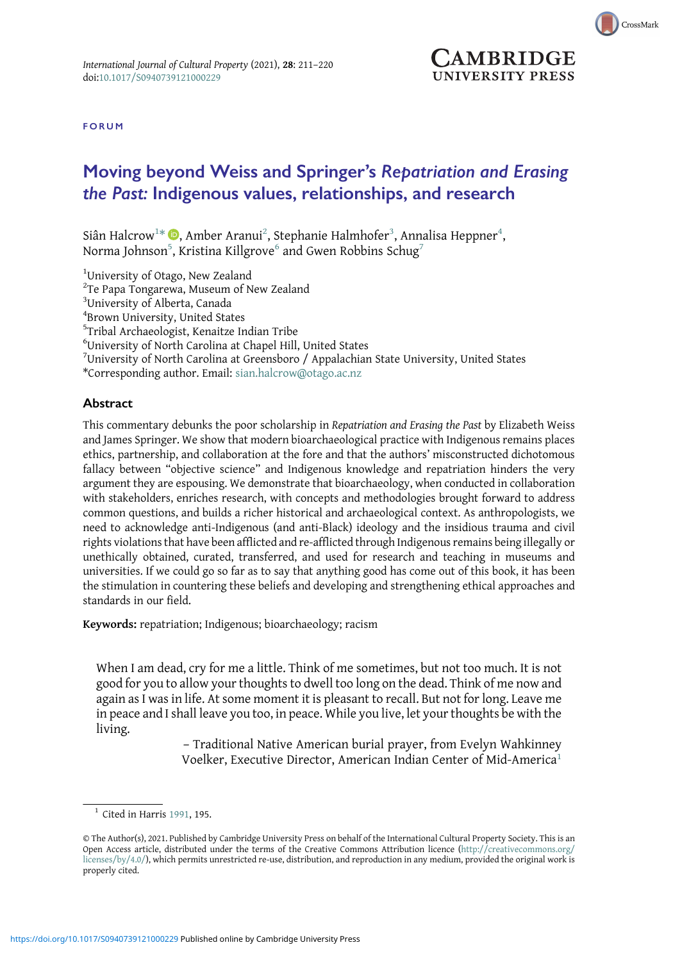

**AMBRIDGE** UNIVERSITY PRESS

FORUM

## Moving beyond Weiss and Springer's Repatriation and Erasing the Past: Indigenous values, relationships, and research

Siân Halcrow $^{1*}$   $\text{\textcircled{\textsc{i}}}$ , Amber Aranui $^2$ , Stephanie Halmhofer $^3$ , Annalisa Heppner $^4$ , Norma Johnson $^5$ , Kristina Killgrove $^6$  and Gwen Robbins Schug $^7$ 

<sup>1</sup>University of Otago, New Zealand

<sup>2</sup>Te Papa Tongarewa, Museum of New Zealand

3 University of Alberta, Canada

4 Brown University, United States

5 Tribal Archaeologist, Kenaitze Indian Tribe

6 University of North Carolina at Chapel Hill, United States

<sup>7</sup>University of North Carolina at Greensboro / Appalachian State University, United States

\*Corresponding author. Email: [sian.halcrow@otago.ac.nz](mailto:sian.halcrow@otago.ac.nz)

## **Abstract**

This commentary debunks the poor scholarship in Repatriation and Erasing the Past by Elizabeth Weiss and James Springer. We show that modern bioarchaeological practice with Indigenous remains places ethics, partnership, and collaboration at the fore and that the authors' misconstructed dichotomous fallacy between "objective science" and Indigenous knowledge and repatriation hinders the very argument they are espousing. We demonstrate that bioarchaeology, when conducted in collaboration with stakeholders, enriches research, with concepts and methodologies brought forward to address common questions, and builds a richer historical and archaeological context. As anthropologists, we need to acknowledge anti-Indigenous (and anti-Black) ideology and the insidious trauma and civil rights violations that have been afflicted and re-afflicted through Indigenous remains being illegally or unethically obtained, curated, transferred, and used for research and teaching in museums and universities. If we could go so far as to say that anything good has come out of this book, it has been the stimulation in countering these beliefs and developing and strengthening ethical approaches and standards in our field.

Keywords: repatriation; Indigenous; bioarchaeology; racism

When I am dead, cry for me a little. Think of me sometimes, but not too much. It is not good for you to allow your thoughts to dwell too long on the dead. Think of me now and again as I was in life. At some moment it is pleasant to recall. But not for long. Leave me in peace and I shall leave you too, in peace. While you live, let your thoughts be with the living.

> – Traditional Native American burial prayer, from Evelyn Wahkinney Voelker, Executive Director, American Indian Center of Mid-America<sup>1</sup>

 $<sup>1</sup>$  Cited in Harris [1991,](#page-8-0) 195.</sup>

<sup>©</sup> The Author(s), 2021. Published by Cambridge University Press on behalf of the International Cultural Property Society. This is an Open Access article, distributed under the terms of the Creative Commons Attribution licence [\(http://creativecommons.org/](http://creativecommons.org/licenses/by/4.0/) [licenses/by/4.0/](http://creativecommons.org/licenses/by/4.0/)), which permits unrestricted re-use, distribution, and reproduction in any medium, provided the original work is properly cited.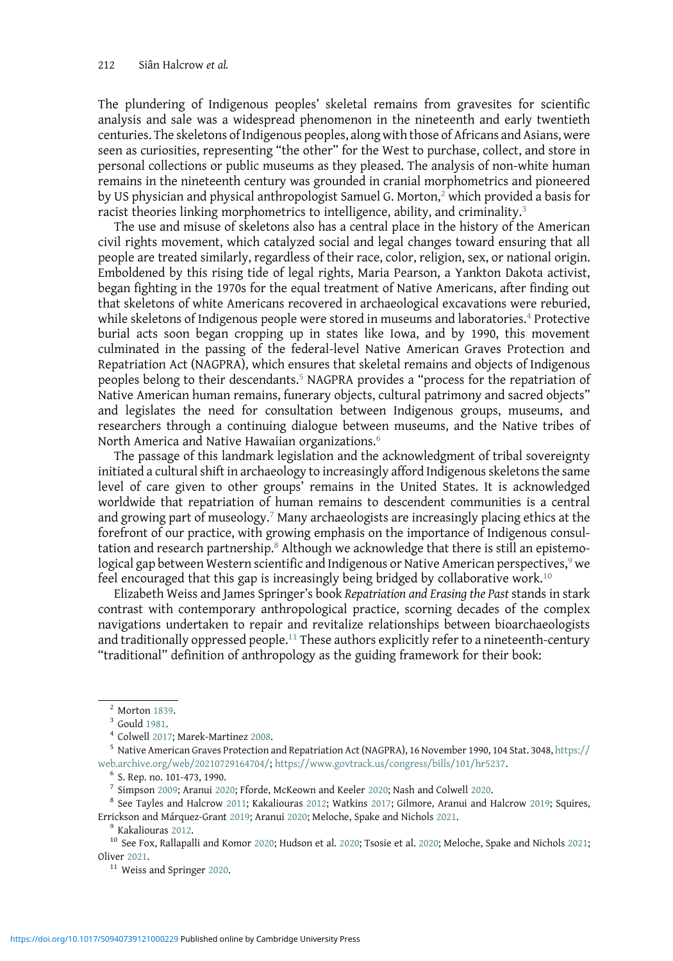The plundering of Indigenous peoples' skeletal remains from gravesites for scientific analysis and sale was a widespread phenomenon in the nineteenth and early twentieth centuries. The skeletons of Indigenous peoples, along with those of Africans and Asians, were seen as curiosities, representing "the other" for the West to purchase, collect, and store in personal collections or public museums as they pleased. The analysis of non-white human remains in the nineteenth century was grounded in cranial morphometrics and pioneered by US physician and physical anthropologist Samuel G. Morton,<sup>2</sup> which provided a basis for racist theories linking morphometrics to intelligence, ability, and criminality.<sup>3</sup>

The use and misuse of skeletons also has a central place in the history of the American civil rights movement, which catalyzed social and legal changes toward ensuring that all people are treated similarly, regardless of their race, color, religion, sex, or national origin. Emboldened by this rising tide of legal rights, Maria Pearson, a Yankton Dakota activist, began fighting in the 1970s for the equal treatment of Native Americans, after finding out that skeletons of white Americans recovered in archaeological excavations were reburied, while skeletons of Indigenous people were stored in museums and laboratories.<sup>4</sup> Protective burial acts soon began cropping up in states like Iowa, and by 1990, this movement culminated in the passing of the federal-level Native American Graves Protection and Repatriation Act (NAGPRA), which ensures that skeletal remains and objects of Indigenous peoples belong to their descendants.<sup>5</sup> NAGPRA provides a "process for the repatriation of Native American human remains, funerary objects, cultural patrimony and sacred objects" and legislates the need for consultation between Indigenous groups, museums, and researchers through a continuing dialogue between museums, and the Native tribes of North America and Native Hawaiian organizations.<sup>6</sup>

The passage of this landmark legislation and the acknowledgment of tribal sovereignty initiated a cultural shift in archaeology to increasingly afford Indigenous skeletons the same level of care given to other groups' remains in the United States. It is acknowledged worldwide that repatriation of human remains to descendent communities is a central and growing part of museology.<sup>7</sup> Many archaeologists are increasingly placing ethics at the forefront of our practice, with growing emphasis on the importance of Indigenous consultation and research partnership.<sup>8</sup> Although we acknowledge that there is still an epistemological gap between Western scientific and Indigenous or Native American perspectives,<sup>9</sup> we feel encouraged that this gap is increasingly being bridged by collaborative work.<sup>10</sup>

Elizabeth Weiss and James Springer's book Repatriation and Erasing the Past stands in stark contrast with contemporary anthropological practice, scorning decades of the complex navigations undertaken to repair and revitalize relationships between bioarchaeologists and traditionally oppressed people.<sup>11</sup> These authors explicitly refer to a nineteenth-century "traditional" definition of anthropology as the guiding framework for their book:

<sup>&</sup>lt;sup>2</sup> Morton [1839.](#page-8-0)<br><sup>3</sup> Gould [1981](#page-8-0).<br><sup>4</sup> Colwell [2017](#page-8-0); Marek-Martinez [2008.](#page-8-0)<br><sup>5</sup> Native American Graves Protection and Repatriation Act (NAGPRA), 16 November 1990, 104 Stat. 3048, [https://](https://web.archive.org/web/20210729164704/) [web.archive.org/web/20210729164704/;](https://web.archive.org/web/20210729164704/) [https://www.govtrack.us/congress/bills/101/hr5237.](https://www.govtrack.us/congress/bills/101/hr5237)<br>
6 S. Rep. no. 101-473, 1990.<br>
<sup>7</sup> Simpson 2009; Aranui 2020; Fforde, McKeown and Keeler 2020; Nash and Colwell 2020.

 $8$  See Tayles and Halcrow [2011;](#page-9-0) Kakaliouras [2012](#page-8-0); Watkins [2017;](#page-9-0) Gilmore, Aranui and Halcrow [2019;](#page-8-0) Squires,

Errickson and Márquez-Grant [2019](#page-9-0); Aranui [2020](#page-9-0); Meloche, Spake and Nichols [2021.](#page-8-0) 9 Kakaliouras [2012](#page-8-0). 10 See Fox, Rallapalli and Komor 2020; Hudson et al. 2020; Tsosie et al. 2020; Meloche, Spake and Nichols [2021](#page-8-0); Oliver [2021](#page-9-0).<br><sup>11</sup> Weiss and Springer [2020.](#page-9-0)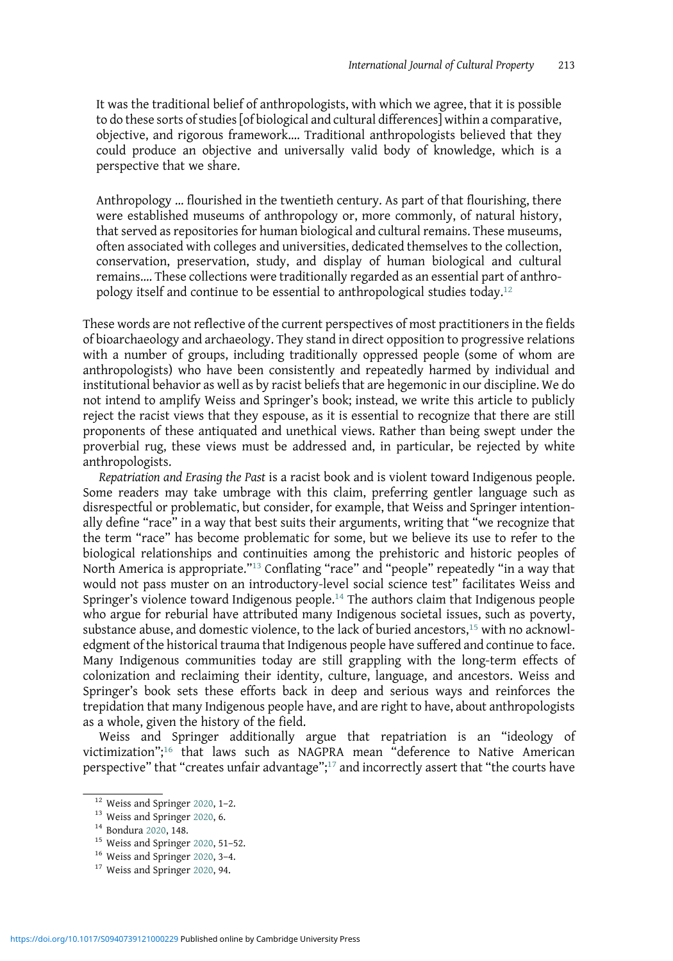It was the traditional belief of anthropologists, with which we agree, that it is possible to do these sorts of studies [of biological and cultural differences] within a comparative, objective, and rigorous framework…. Traditional anthropologists believed that they could produce an objective and universally valid body of knowledge, which is a perspective that we share.

Anthropology … flourished in the twentieth century. As part of that flourishing, there were established museums of anthropology or, more commonly, of natural history, that served as repositories for human biological and cultural remains. These museums, often associated with colleges and universities, dedicated themselves to the collection, conservation, preservation, study, and display of human biological and cultural remains…. These collections were traditionally regarded as an essential part of anthropology itself and continue to be essential to anthropological studies today.<sup>12</sup>

These words are not reflective of the current perspectives of most practitioners in the fields of bioarchaeology and archaeology. They stand in direct opposition to progressive relations with a number of groups, including traditionally oppressed people (some of whom are anthropologists) who have been consistently and repeatedly harmed by individual and institutional behavior as well as by racist beliefs that are hegemonic in our discipline. We do not intend to amplify Weiss and Springer's book; instead, we write this article to publicly reject the racist views that they espouse, as it is essential to recognize that there are still proponents of these antiquated and unethical views. Rather than being swept under the proverbial rug, these views must be addressed and, in particular, be rejected by white anthropologists.

Repatriation and Erasing the Past is a racist book and is violent toward Indigenous people. Some readers may take umbrage with this claim, preferring gentler language such as disrespectful or problematic, but consider, for example, that Weiss and Springer intentionally define "race" in a way that best suits their arguments, writing that "we recognize that the term "race" has become problematic for some, but we believe its use to refer to the biological relationships and continuities among the prehistoric and historic peoples of North America is appropriate."<sup>13</sup> Conflating "race" and "people" repeatedly "in a way that would not pass muster on an introductory-level social science test" facilitates Weiss and Springer's violence toward Indigenous people.<sup>14</sup> The authors claim that Indigenous people who argue for reburial have attributed many Indigenous societal issues, such as poverty, substance abuse, and domestic violence, to the lack of buried ancestors, $^{15}$  with no acknowledgment of the historical trauma that Indigenous people have suffered and continue to face. Many Indigenous communities today are still grappling with the long-term effects of colonization and reclaiming their identity, culture, language, and ancestors. Weiss and Springer's book sets these efforts back in deep and serious ways and reinforces the trepidation that many Indigenous people have, and are right to have, about anthropologists as a whole, given the history of the field.

Weiss and Springer additionally argue that repatriation is an "ideology of victimization"; <sup>16</sup> that laws such as NAGPRA mean "deference to Native American perspective" that "creates unfair advantage";<sup>17</sup> and incorrectly assert that "the courts have

<sup>&</sup>lt;sup>12</sup> Weiss and Springer [2020,](#page-9-0) 1–2.<br><sup>13</sup> Weiss and Springer [2020](#page-8-0), 6.<br><sup>14</sup> Bondura 2020, 148.<br><sup>15</sup> Weiss and Springer 2020, 3–4.<br><sup>17</sup> Weiss and Springer 2020, 94.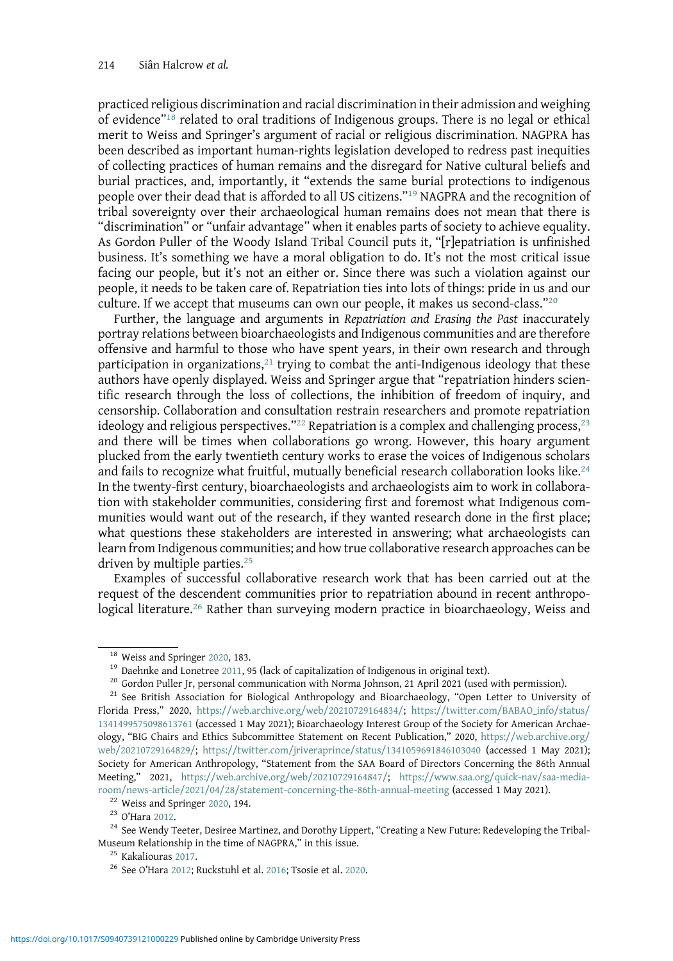practiced religious discrimination and racial discrimination in their admission and weighing of evidence" $18$  related to oral traditions of Indigenous groups. There is no legal or ethical merit to Weiss and Springer's argument of racial or religious discrimination. NAGPRA has been described as important human-rights legislation developed to redress past inequities of collecting practices of human remains and the disregard for Native cultural beliefs and burial practices, and, importantly, it "extends the same burial protections to indigenous people over their dead that is afforded to all US citizens."<sup>19</sup> NAGPRA and the recognition of tribal sovereignty over their archaeological human remains does not mean that there is "discrimination" or "unfair advantage" when it enables parts of society to achieve equality. As Gordon Puller of the Woody Island Tribal Council puts it, "[r]epatriation is unfinished business. It's something we have a moral obligation to do. It's not the most critical issue facing our people, but it's not an either or. Since there was such a violation against our people, it needs to be taken care of. Repatriation ties into lots of things: pride in us and our culture. If we accept that museums can own our people, it makes us second-class."<sup>20</sup>

Further, the language and arguments in Repatriation and Erasing the Past inaccurately portray relations between bioarchaeologists and Indigenous communities and are therefore offensive and harmful to those who have spent years, in their own research and through participation in organizations, $21$  trying to combat the anti-Indigenous ideology that these authors have openly displayed. Weiss and Springer argue that "repatriation hinders scientific research through the loss of collections, the inhibition of freedom of inquiry, and censorship. Collaboration and consultation restrain researchers and promote repatriation ideology and religious perspectives."<sup>22</sup> Repatriation is a complex and challenging process,<sup>23</sup> and there will be times when collaborations go wrong. However, this hoary argument plucked from the early twentieth century works to erase the voices of Indigenous scholars and fails to recognize what fruitful, mutually beneficial research collaboration looks like.<sup>24</sup> In the twenty-first century, bioarchaeologists and archaeologists aim to work in collaboration with stakeholder communities, considering first and foremost what Indigenous communities would want out of the research, if they wanted research done in the first place; what questions these stakeholders are interested in answering; what archaeologists can learn from Indigenous communities; and how true collaborative research approaches can be driven by multiple parties.<sup>25</sup>

Examples of successful collaborative research work that has been carried out at the request of the descendent communities prior to repatriation abound in recent anthropological literature.<sup>26</sup> Rather than surveying modern practice in bioarchaeology, Weiss and

<sup>&</sup>lt;sup>18</sup> Weiss and Springer [2020,](#page-9-0) 183.<br><sup>19</sup> Daehnke and Lonetree [2011](#page-8-0), 95 (lack of capitalization of Indigenous in original text).<br><sup>20</sup> Gordon Puller Jr, personal communication with Norma Johnson, 21 April 2021 (used with per Florida Press," 2020, [https://web.archive.org/web/20210729164834/](https://www.web.archive.org/web/20210729164834/); [https://twitter.com/BABAO\\_info/status/](https://twitter.com/BABAO_info/status/1341499575098613761) [1341499575098613761](https://twitter.com/BABAO_info/status/1341499575098613761) (accessed 1 May 2021); Bioarchaeology Interest Group of the Society for American Archaeology, "BIG Chairs and Ethics Subcommittee Statement on Recent Publication," 2020, [https://web.archive.org/](https://web.archive.org/web/20210729164829/) [web/20210729164829/](https://web.archive.org/web/20210729164829/); <https://twitter.com/jriveraprince/status/1341059691846103040> (accessed 1 May 2021); Society for American Anthropology, "Statement from the SAA Board of Directors Concerning the 86th Annual Meeting," 2021, <https://web.archive.org/web/20210729164847/>; [https://www.saa.org/quick-nav/saa-media-](https://www.saa.org/quick-nav/saa-media-room/news-article/2021/04/28/statement-concerning-the-86th-annual-meeting)

[room/news-article/2021/04/28/statement-concerning-the-86th-annual-meeting](https://www.saa.org/quick-nav/saa-media-room/news-article/2021/04/28/statement-concerning-the-86th-annual-meeting) (accessed 1 May 2021).<br><sup>22</sup> Weiss and Springer [2020,](#page-9-0) 194.<br><sup>23</sup> O'Hara [2012](#page-9-0).<br><sup>24</sup> See Wendy Teeter, Desiree Martinez, and Dorothy Lippert, "Creating

<sup>&</sup>lt;sup>25</sup> Kakaliouras [2017](#page-8-0).<br><sup>26</sup> See O'Hara [2012](#page-9-0); Ruckstuhl et al. [2016](#page-9-0); Tsosie et al. [2020](#page-9-0).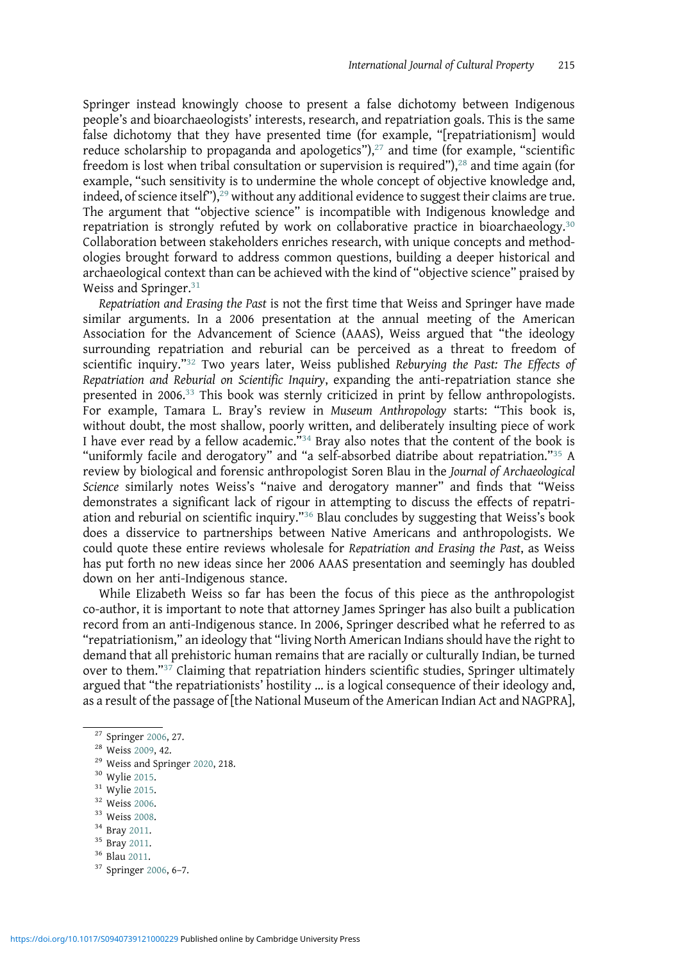Springer instead knowingly choose to present a false dichotomy between Indigenous people's and bioarchaeologists' interests, research, and repatriation goals. This is the same false dichotomy that they have presented time (for example, "[repatriationism] would reduce scholarship to propaganda and apologetics"), $27$  and time (for example, "scientific freedom is lost when tribal consultation or supervision is required"),<sup>28</sup> and time again (for example, "such sensitivity is to undermine the whole concept of objective knowledge and, indeed, of science itself"),  $29$  without any additional evidence to suggest their claims are true. The argument that "objective science" is incompatible with Indigenous knowledge and repatriation is strongly refuted by work on collaborative practice in bioarchaeology.<sup>30</sup> Collaboration between stakeholders enriches research, with unique concepts and methodologies brought forward to address common questions, building a deeper historical and archaeological context than can be achieved with the kind of "objective science" praised by Weiss and Springer.<sup>31</sup>

Repatriation and Erasing the Past is not the first time that Weiss and Springer have made similar arguments. In a 2006 presentation at the annual meeting of the American Association for the Advancement of Science (AAAS), Weiss argued that "the ideology surrounding repatriation and reburial can be perceived as a threat to freedom of scientific inquiry."<sup>32</sup> Two years later, Weiss published Reburying the Past: The Effects of Repatriation and Reburial on Scientific Inquiry, expanding the anti-repatriation stance she presented in 2006.33 This book was sternly criticized in print by fellow anthropologists. For example, Tamara L. Bray's review in Museum Anthropology starts: "This book is, without doubt, the most shallow, poorly written, and deliberately insulting piece of work I have ever read by a fellow academic."<sup>34</sup> Bray also notes that the content of the book is "uniformly facile and derogatory" and "a self-absorbed diatribe about repatriation."<sup>35</sup> A review by biological and forensic anthropologist Soren Blau in the Journal of Archaeological Science similarly notes Weiss's "naive and derogatory manner" and finds that "Weiss demonstrates a significant lack of rigour in attempting to discuss the effects of repatriation and reburial on scientific inquiry."<sup>36</sup> Blau concludes by suggesting that Weiss's book does a disservice to partnerships between Native Americans and anthropologists. We could quote these entire reviews wholesale for Repatriation and Erasing the Past, as Weiss has put forth no new ideas since her 2006 AAAS presentation and seemingly has doubled down on her anti-Indigenous stance.

While Elizabeth Weiss so far has been the focus of this piece as the anthropologist co-author, it is important to note that attorney James Springer has also built a publication record from an anti-Indigenous stance. In 2006, Springer described what he referred to as "repatriationism," an ideology that "living North American Indians should have the right to demand that all prehistoric human remains that are racially or culturally Indian, be turned over to them."<sup>37</sup> Claiming that repatriation hinders scientific studies, Springer ultimately argued that "the repatriationists' hostility … is a logical consequence of their ideology and, as a result of the passage of [the National Museum of the American Indian Act and NAGPRA],

- 
- 

<sup>&</sup>lt;sup>27</sup> Springer [2006,](#page-9-0) 27.<br><sup>28</sup> Weiss [2009](#page-9-0), 42.<br><sup>29</sup> Weiss and Springer [2020,](#page-9-0) 218.<br><sup>30</sup> Wylie [2015](#page-9-0).<br><sup>31</sup> Wylie 2015.<br><sup>32</sup> Weiss [2006](#page-9-0).<br><sup>33</sup> Weiss [2008](#page-9-0).<br><sup>34</sup> Bray [2011.](#page-8-0)<br><sup>35</sup> Bray 2011.<br><sup>36</sup> Blau 2011.<br><sup>37</sup> Springer 2006, 6–7.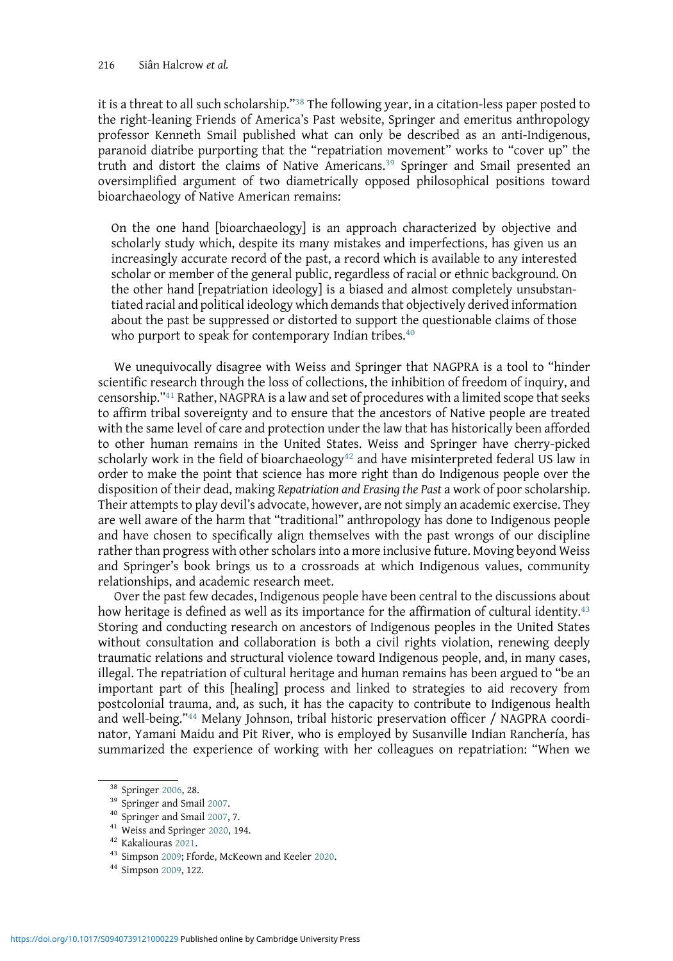it is a threat to all such scholarship."<sup>38</sup> The following year, in a citation-less paper posted to the right-leaning Friends of America's Past website, Springer and emeritus anthropology professor Kenneth Smail published what can only be described as an anti-Indigenous, paranoid diatribe purporting that the "repatriation movement" works to "cover up" the truth and distort the claims of Native Americans.<sup>39</sup> Springer and Smail presented an oversimplified argument of two diametrically opposed philosophical positions toward bioarchaeology of Native American remains:

On the one hand [bioarchaeology] is an approach characterized by objective and scholarly study which, despite its many mistakes and imperfections, has given us an increasingly accurate record of the past, a record which is available to any interested scholar or member of the general public, regardless of racial or ethnic background. On the other hand [repatriation ideology] is a biased and almost completely unsubstantiated racial and political ideology which demands that objectively derived information about the past be suppressed or distorted to support the questionable claims of those who purport to speak for contemporary Indian tribes.<sup>40</sup>

We unequivocally disagree with Weiss and Springer that NAGPRA is a tool to "hinder scientific research through the loss of collections, the inhibition of freedom of inquiry, and censorship."<sup>41</sup> Rather, NAGPRA is a law and set of procedures with a limited scope that seeks to affirm tribal sovereignty and to ensure that the ancestors of Native people are treated with the same level of care and protection under the law that has historically been afforded to other human remains in the United States. Weiss and Springer have cherry-picked scholarly work in the field of bioarchaeology<sup>42</sup> and have misinterpreted federal US law in order to make the point that science has more right than do Indigenous people over the disposition of their dead, making Repatriation and Erasing the Past a work of poor scholarship. Their attempts to play devil's advocate, however, are not simply an academic exercise. They are well aware of the harm that "traditional" anthropology has done to Indigenous people and have chosen to specifically align themselves with the past wrongs of our discipline rather than progress with other scholars into a more inclusive future. Moving beyond Weiss and Springer's book brings us to a crossroads at which Indigenous values, community relationships, and academic research meet.

Over the past few decades, Indigenous people have been central to the discussions about how heritage is defined as well as its importance for the affirmation of cultural identity.<sup>43</sup> Storing and conducting research on ancestors of Indigenous peoples in the United States without consultation and collaboration is both a civil rights violation, renewing deeply traumatic relations and structural violence toward Indigenous people, and, in many cases, illegal. The repatriation of cultural heritage and human remains has been argued to "be an important part of this [healing] process and linked to strategies to aid recovery from postcolonial trauma, and, as such, it has the capacity to contribute to Indigenous health and well-being."<sup>44</sup> Melany Johnson, tribal historic preservation officer / NAGPRA coordinator, Yamani Maidu and Pit River, who is employed by Susanville Indian Ranchería, has summarized the experience of working with her colleagues on repatriation: "When we

<sup>&</sup>lt;sup>38</sup> Springer [2006](#page-9-0), 28.<br><sup>39</sup> Springer and Smail [2007](#page-9-0).<br><sup>40</sup> Springer and Smail 2007, 7.<br><sup>41</sup> Weiss and Springer [2020,](#page-9-0) 194.<br><sup>42</sup> Kakaliouras [2021](#page-8-0).<br><sup>43</sup> Simpson [2009;](#page-9-0) Fforde, McKeown and Keeler [2020](#page-8-0).<br><sup>44</sup> Simpson [2009,](#page-9-0) 122.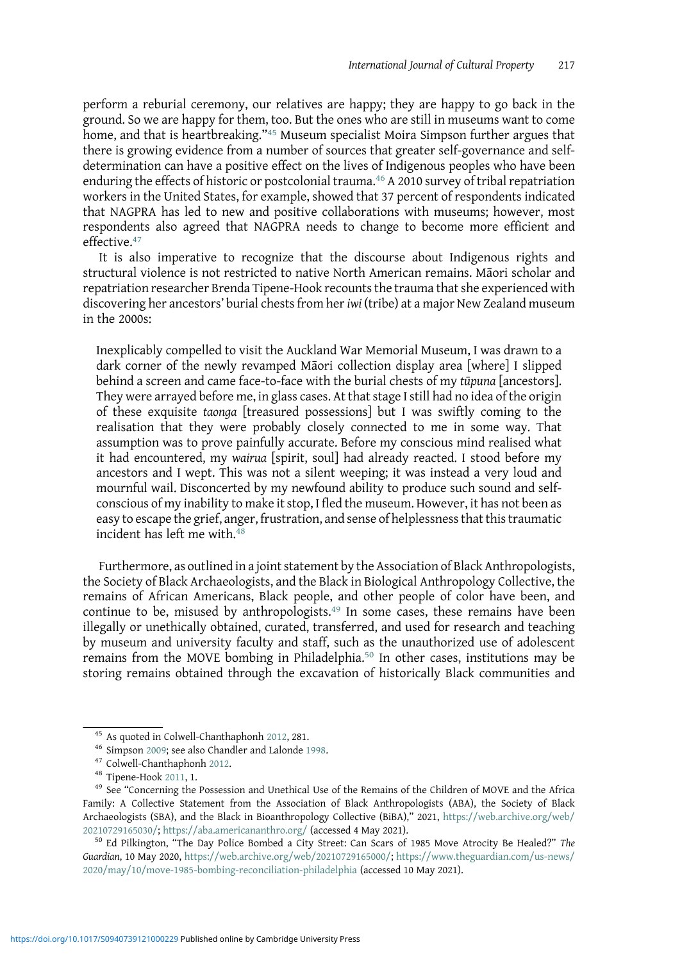perform a reburial ceremony, our relatives are happy; they are happy to go back in the ground. So we are happy for them, too. But the ones who are still in museums want to come home, and that is heartbreaking."<sup>45</sup> Museum specialist Moira Simpson further argues that there is growing evidence from a number of sources that greater self-governance and selfdetermination can have a positive effect on the lives of Indigenous peoples who have been enduring the effects of historic or postcolonial trauma.<sup>46</sup> A 2010 survey of tribal repatriation workers in the United States, for example, showed that 37 percent of respondents indicated that NAGPRA has led to new and positive collaborations with museums; however, most respondents also agreed that NAGPRA needs to change to become more efficient and effective.<sup>47</sup>

It is also imperative to recognize that the discourse about Indigenous rights and structural violence is not restricted to native North American remains. Māori scholar and repatriation researcher Brenda Tipene-Hook recounts the trauma that she experienced with discovering her ancestors' burial chests from heriwi (tribe) at a major New Zealand museum in the 2000s:

Inexplicably compelled to visit the Auckland War Memorial Museum, I was drawn to a dark corner of the newly revamped Māori collection display area [where] I slipped behind a screen and came face-to-face with the burial chests of my tūpuna [ancestors]. They were arrayed before me, in glass cases. At that stage I still had no idea of the origin of these exquisite taonga [treasured possessions] but I was swiftly coming to the realisation that they were probably closely connected to me in some way. That assumption was to prove painfully accurate. Before my conscious mind realised what it had encountered, my wairua [spirit, soul] had already reacted. I stood before my ancestors and I wept. This was not a silent weeping; it was instead a very loud and mournful wail. Disconcerted by my newfound ability to produce such sound and selfconscious of my inability to make it stop, I fled the museum. However, it has not been as easy to escape the grief, anger, frustration, and sense of helplessness that this traumatic incident has left me with. $48$ 

Furthermore, as outlined in a joint statement by the Association of Black Anthropologists, the Society of Black Archaeologists, and the Black in Biological Anthropology Collective, the remains of African Americans, Black people, and other people of color have been, and continue to be, misused by anthropologists.<sup>49</sup> In some cases, these remains have been illegally or unethically obtained, curated, transferred, and used for research and teaching by museum and university faculty and staff, such as the unauthorized use of adolescent remains from the MOVE bombing in Philadelphia.<sup>50</sup> In other cases, institutions may be storing remains obtained through the excavation of historically Black communities and

<sup>&</sup>lt;sup>45</sup> As quoted in Colwell-Chanthaphonh [2012,](#page-8-0) 281.<br><sup>46</sup> Simpson [2009](#page-9-0); see also Chandler and Lalonde [1998](#page-8-0).<br><sup>47</sup> Colwell-Chanthaphonh [2012.](#page-8-0)<br><sup>48</sup> Tipene-Hook [2011,](#page-9-0) 1.<br><sup>49</sup> See "Concerning the Possession and Unethical Use of t Family: A Collective Statement from the Association of Black Anthropologists (ABA), the Society of Black Archaeologists (SBA), and the Black in Bioanthropology Collective (BiBA)," 2021, [https://web.archive.org/web/](https://web.archive.org/web/20210729165030/)  $20210729165030$ ; <https://aba.americananthro.org/> (accessed 4 May 2021).<br><sup>50</sup> Ed Pilkington, "The Day Police Bombed a City Street: Can Scars of 1985 Move Atrocity Be Healed?" *The* 

Guardian, 10 May 2020, [https://web.archive.org/web/20210729165000/;](https://www.web.archive.org/web/20210729165000/) [https://www.theguardian.com/us-news/](https://www.theguardian.com/us-news/2020/may/10/move-1985-bombing-reconciliation-philadelphia) [2020/may/10/move-1985-bombing-reconciliation-philadelphia](https://www.theguardian.com/us-news/2020/may/10/move-1985-bombing-reconciliation-philadelphia) (accessed 10 May 2021).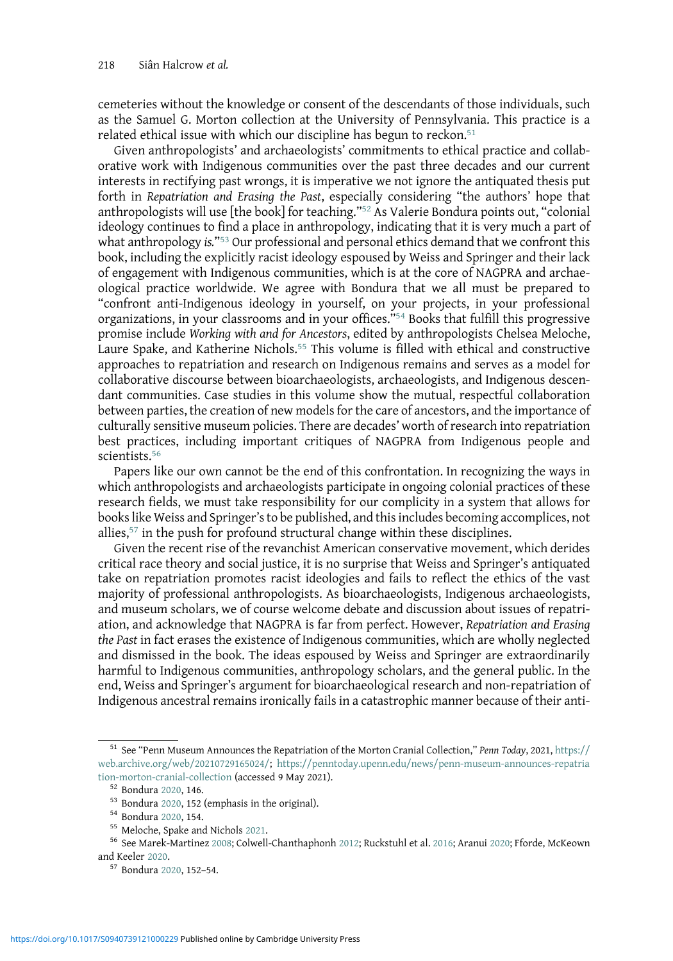cemeteries without the knowledge or consent of the descendants of those individuals, such as the Samuel G. Morton collection at the University of Pennsylvania. This practice is a related ethical issue with which our discipline has begun to reckon.<sup>51</sup>

Given anthropologists' and archaeologists' commitments to ethical practice and collaborative work with Indigenous communities over the past three decades and our current interests in rectifying past wrongs, it is imperative we not ignore the antiquated thesis put forth in Repatriation and Erasing the Past, especially considering "the authors' hope that anthropologists will use [the book] for teaching."<sup>52</sup> As Valerie Bondura points out, "colonial ideology continues to find a place in anthropology, indicating that it is very much a part of what anthropology is." $53$  Our professional and personal ethics demand that we confront this book, including the explicitly racist ideology espoused by Weiss and Springer and their lack of engagement with Indigenous communities, which is at the core of NAGPRA and archaeological practice worldwide. We agree with Bondura that we all must be prepared to "confront anti-Indigenous ideology in yourself, on your projects, in your professional organizations, in your classrooms and in your offices."<sup>54</sup> Books that fulfill this progressive promise include Working with and for Ancestors, edited by anthropologists Chelsea Meloche, Laure Spake, and Katherine Nichols.<sup>55</sup> This volume is filled with ethical and constructive approaches to repatriation and research on Indigenous remains and serves as a model for collaborative discourse between bioarchaeologists, archaeologists, and Indigenous descendant communities. Case studies in this volume show the mutual, respectful collaboration between parties, the creation of new models for the care of ancestors, and the importance of culturally sensitive museum policies. There are decades' worth of research into repatriation best practices, including important critiques of NAGPRA from Indigenous people and scientists.<sup>56</sup>

Papers like our own cannot be the end of this confrontation. In recognizing the ways in which anthropologists and archaeologists participate in ongoing colonial practices of these research fields, we must take responsibility for our complicity in a system that allows for books like Weiss and Springer's to be published, and this includes becoming accomplices, not allies,<sup>57</sup> in the push for profound structural change within these disciplines.

Given the recent rise of the revanchist American conservative movement, which derides critical race theory and social justice, it is no surprise that Weiss and Springer's antiquated take on repatriation promotes racist ideologies and fails to reflect the ethics of the vast majority of professional anthropologists. As bioarchaeologists, Indigenous archaeologists, and museum scholars, we of course welcome debate and discussion about issues of repatriation, and acknowledge that NAGPRA is far from perfect. However, Repatriation and Erasing the Past in fact erases the existence of Indigenous communities, which are wholly neglected and dismissed in the book. The ideas espoused by Weiss and Springer are extraordinarily harmful to Indigenous communities, anthropology scholars, and the general public. In the end, Weiss and Springer's argument for bioarchaeological research and non-repatriation of Indigenous ancestral remains ironically fails in a catastrophic manner because of their anti-

<sup>&</sup>lt;sup>51</sup> See "Penn Museum Announces the Repatriation of the Morton Cranial Collection," Penn Today, 2021, [https://](https://web.archive.org/web/20210729165024/) [web.archive.org/web/20210729165024/;](https://web.archive.org/web/20210729165024/) [https://penntoday.upenn.edu/news/penn-museum-announces-repatria](https://penntoday.upenn.edu/news/penn-museum-announces-repatriation-morton-cranial-collection)

[tion-morton-cranial-collection](https://penntoday.upenn.edu/news/penn-museum-announces-repatriation-morton-cranial-collection) (accessed 9 May 2021).<br><sup>52</sup> Bondura [2020,](#page-8-0) 146.<br><sup>53</sup> Bondura 2020, 152 (emphasis in the original).<br><sup>54</sup> Bondura 2020, 154.<br><sup>55</sup> Meloche, Spake and Nichols [2021.](#page-8-0)<br><sup>56</sup> See Marek-Martinez [2008](#page-8-0); C

<sup>57</sup> Bondura [2020](#page-8-0), 152-54.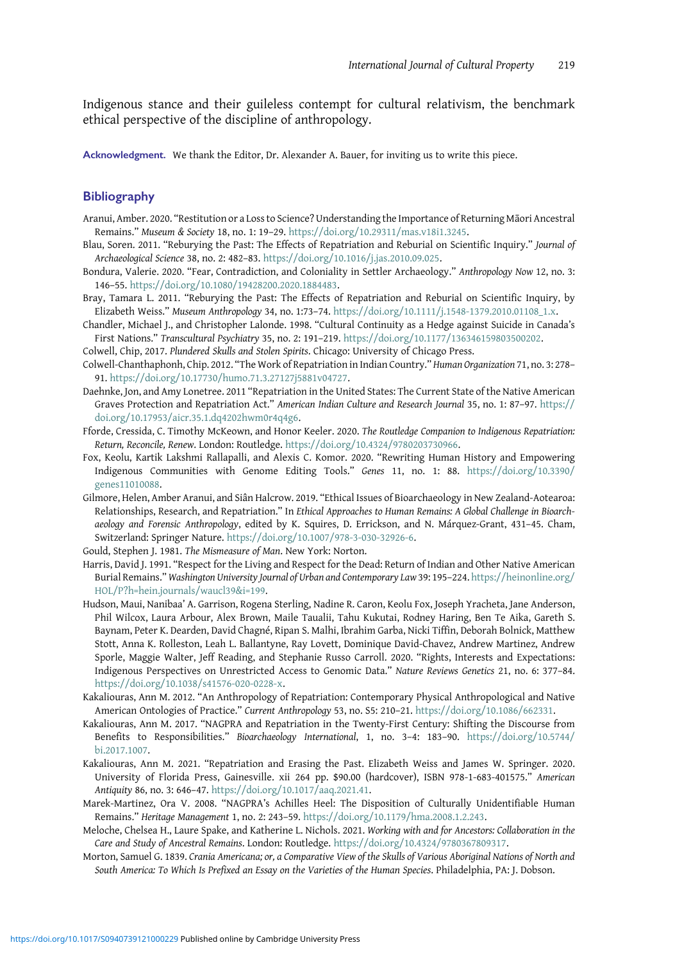<span id="page-8-0"></span>Indigenous stance and their guileless contempt for cultural relativism, the benchmark ethical perspective of the discipline of anthropology.

Acknowledgment. We thank the Editor, Dr. Alexander A. Bauer, for inviting us to write this piece.

## Bibliography

- Aranui, Amber. 2020. "Restitution or a Loss to Science? Understanding the Importance of Returning Māori Ancestral Remains." Museum & Society 18, no. 1: 19–29. <https://doi.org/10.29311/mas.v18i1.3245>.
- Blau, Soren. 2011. "Reburying the Past: The Effects of Repatriation and Reburial on Scientific Inquiry." Journal of Archaeological Science 38, no. 2: 482–83. <https://doi.org/10.1016/j.jas.2010.09.025>.
- Bondura, Valerie. 2020. "Fear, Contradiction, and Coloniality in Settler Archaeology." Anthropology Now 12, no. 3: 146–55. [https://doi.org/10.1080/19428200.2020.1884483.](https://doi.org/10.1080/19428200.2020.1884483)
- Bray, Tamara L. 2011. "Reburying the Past: The Effects of Repatriation and Reburial on Scientific Inquiry, by Elizabeth Weiss." Museum Anthropology 34, no. 1:73–74. [https://doi.org/10.1111/j.1548-1379.2010.01108\\_1.x](https://doi.org/10.1111/j.1548-1379.2010.01108_1.x).
- Chandler, Michael J., and Christopher Lalonde. 1998. "Cultural Continuity as a Hedge against Suicide in Canada's First Nations." Transcultural Psychiatry 35, no. 2: 191–219. <https://doi.org/10.1177/136346159803500202>.

Colwell, Chip, 2017. Plundered Skulls and Stolen Spirits. Chicago: University of Chicago Press.

- Colwell-Chanthaphonh, Chip. 2012. "The Work of Repatriation in Indian Country." Human Organization 71, no. 3: 278– 91. <https://doi.org/10.17730/humo.71.3.27127j5881v04727>.
- Daehnke, Jon, and Amy Lonetree. 2011 "Repatriation in the United States: The Current State of the Native American Graves Protection and Repatriation Act." American Indian Culture and Research Journal 35, no. 1: 87–97. [https://](https://doi.org/10.17953/aicr.35.1.dq4202hwm0r4q4g6) [doi.org/10.17953/aicr.35.1.dq4202hwm0r4q4g6](https://doi.org/10.17953/aicr.35.1.dq4202hwm0r4q4g6).
- Fforde, Cressida, C. Timothy McKeown, and Honor Keeler. 2020. The Routledge Companion to Indigenous Repatriation: Return, Reconcile, Renew. London: Routledge. [https://doi.org/10.4324/9780203730966.](https://doi.org/10.4324/9780203730966)
- Fox, Keolu, Kartik Lakshmi Rallapalli, and Alexis C. Komor. 2020. "Rewriting Human History and Empowering Indigenous Communities with Genome Editing Tools." Genes 11, no. 1: 88. [https://doi.org/10.3390/](https://doi.org/10.3390/genes11010088) [genes11010088](https://doi.org/10.3390/genes11010088).
- Gilmore, Helen, Amber Aranui, and Siân Halcrow. 2019. "Ethical Issues of Bioarchaeology in New Zealand-Aotearoa: Relationships, Research, and Repatriation." In Ethical Approaches to Human Remains: A Global Challenge in Bioarchaeology and Forensic Anthropology, edited by K. Squires, D. Errickson, and N. Márquez-Grant, 431–45. Cham, Switzerland: Springer Nature. [https://doi.org/10.1007/978-3-030-32926-6.](https://doi.org/10.1007/978-3-030-32926-6)

Gould, Stephen J. 1981. The Mismeasure of Man. New York: Norton.

- Harris, David J. 1991. "Respect for the Living and Respect for the Dead: Return of Indian and Other Native American Burial Remains." Washington University Journal of Urban and Contemporary Law 39: 195–224. [https://heinonline.org/](https://heinonline.org/HOL/P?h=hein.journals/waucl39i=199) [HOL/P?h=hein.journals/waucl39&i=199.](https://heinonline.org/HOL/P?h=hein.journals/waucl39i=199)
- Hudson, Maui, Nanibaa' A. Garrison, Rogena Sterling, Nadine R. Caron, Keolu Fox, Joseph Yracheta, Jane Anderson, Phil Wilcox, Laura Arbour, Alex Brown, Maile Taualii, Tahu Kukutai, Rodney Haring, Ben Te Aika, Gareth S. Baynam, Peter K. Dearden, David Chagné, Ripan S. Malhi, Ibrahim Garba, Nicki Tiffin, Deborah Bolnick, Matthew Stott, Anna K. Rolleston, Leah L. Ballantyne, Ray Lovett, Dominique David-Chavez, Andrew Martinez, Andrew Sporle, Maggie Walter, Jeff Reading, and Stephanie Russo Carroll. 2020. "Rights, Interests and Expectations: Indigenous Perspectives on Unrestricted Access to Genomic Data." Nature Reviews Genetics 21, no. 6: 377–84. [https://doi.org/10.1038/s41576-020-0228-x.](https://doi.org/10.1038/s41576-020-0228-x)
- Kakaliouras, Ann M. 2012. "An Anthropology of Repatriation: Contemporary Physical Anthropological and Native American Ontologies of Practice." Current Anthropology 53, no. S5: 210–21. <https://doi.org/10.1086/662331>.
- Kakaliouras, Ann M. 2017. "NAGPRA and Repatriation in the Twenty-First Century: Shifting the Discourse from Benefits to Responsibilities." Bioarchaeology International, 1, no. 3–4: 183–90. [https://doi.org/10.5744/](https://doi.org/10.5744/bi.2017.1007) [bi.2017.1007.](https://doi.org/10.5744/bi.2017.1007)
- Kakaliouras, Ann M. 2021. "Repatriation and Erasing the Past. Elizabeth Weiss and James W. Springer. 2020. University of Florida Press, Gainesville. xii 264 pp. \$90.00 (hardcover), ISBN 978-1-683-401575." American Antiquity 86, no. 3: 646–47. <https://doi.org/10.1017/aaq.2021.41>.
- Marek-Martinez, Ora V. 2008. "NAGPRA's Achilles Heel: The Disposition of Culturally Unidentifiable Human Remains." Heritage Management 1, no. 2: 243–59. [https://doi.org/10.1179/hma.2008.1.2.243.](https://doi.org/10.1179/hma.2008.1.2.243)
- Meloche, Chelsea H., Laure Spake, and Katherine L. Nichols. 2021. Working with and for Ancestors: Collaboration in the Care and Study of Ancestral Remains. London: Routledge. <https://doi.org/10.4324/9780367809317>.
- Morton, Samuel G. 1839. Crania Americana; or, a Comparative View of the Skulls of Various Aboriginal Nations of North and South America: To Which Is Prefixed an Essay on the Varieties of the Human Species. Philadelphia, PA: J. Dobson.